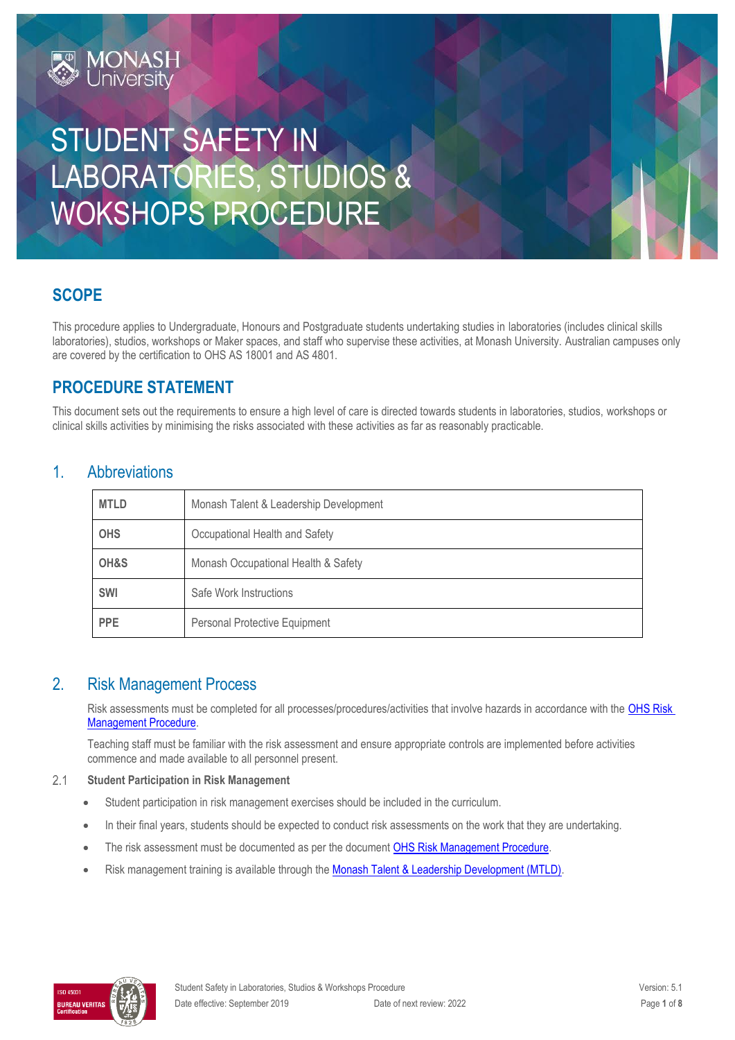# STUDENT SAFETY IN LABORATORIES, STUDIOS & WOKSHOPS PROCEDURE

# **SCOPE**

This procedure applies to Undergraduate, Honours and Postgraduate students undertaking studies in laboratories (includes clinical skills laboratories), studios, workshops or Maker spaces, and staff who supervise these activities, at Monash University. Australian campuses only are covered by the certification to OHS AS 18001 and AS 4801.

# **PROCEDURE STATEMENT**

This document sets out the requirements to ensure a high level of care is directed towards students in laboratories, studios, workshops or clinical skills activities by minimising the risks associated with these activities as far as reasonably practicable.

### 1. Abbreviations

| <b>MTLD</b> | Monash Talent & Leadership Development |  |
|-------------|----------------------------------------|--|
| <b>OHS</b>  | Occupational Health and Safety         |  |
| OH&S        | Monash Occupational Health & Safety    |  |
| SWI         | Safe Work Instructions                 |  |
| <b>PPE</b>  | Personal Protective Equipment          |  |

### 2. Risk Management Process

Risk assessments must be completed for all processes/procedures/activities that involve hazards in accordance with the OHS Risk [Management Procedure.](https://publicpolicydms.monash.edu/Monash/documents/1935636)

Teaching staff must be familiar with the risk assessment and ensure appropriate controls are implemented before activities commence and made available to all personnel present.

#### $2.1$ **Student Participation in Risk Management**

- Student participation in risk management exercises should be included in the curriculum.
- In their final years, students should be expected to conduct risk assessments on the work that they are undertaking.
- The risk assessment must be documented as per the documen[t OHS Risk Management Procedure.](https://publicpolicydms.monash.edu/Monash/documents/1935636)
- Risk management training is available through th[e Monash Talent & Leadership Development \(MTLD\).](https://www.intranet.monash/talent-leadership-development)

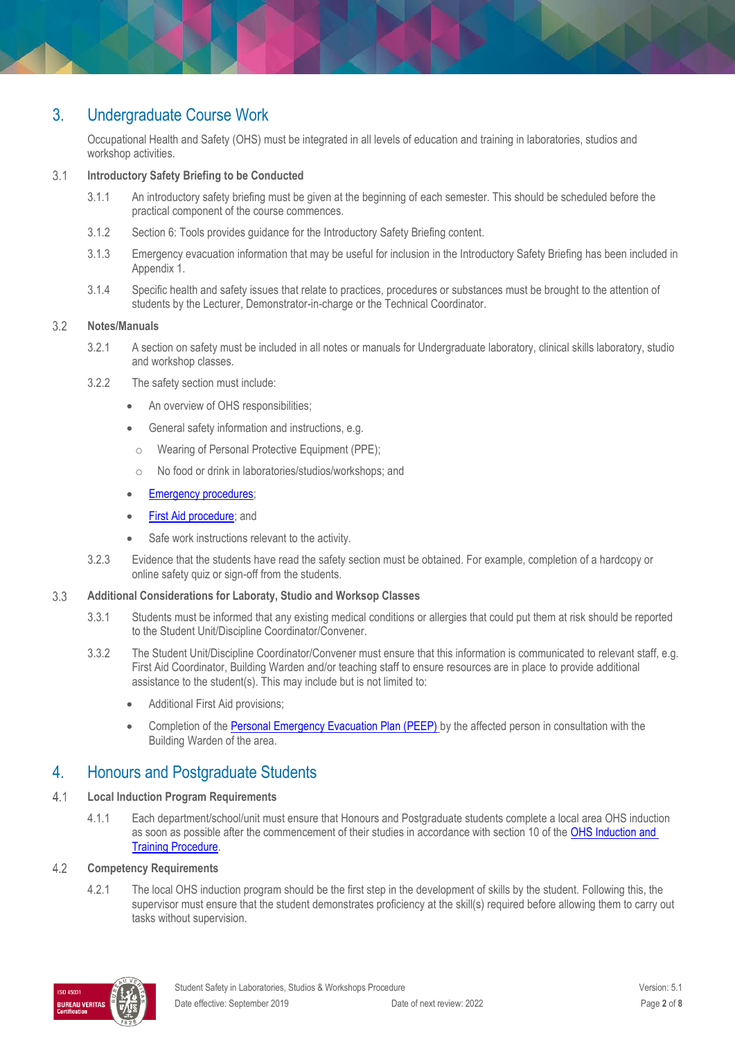## 3. Undergraduate Course Work

Occupational Health and Safety (OHS) must be integrated in all levels of education and training in laboratories, studios and workshop activities.

#### $3.1$ **Introductory Safety Briefing to be Conducted**

- 3.1.1 An introductory safety briefing must be given at the beginning of each semester. This should be scheduled before the practical component of the course commences.
- 3.1.2 Section 6: Tools provides guidance for the Introductory Safety Briefing content.
- 3.1.3 Emergency evacuation information that may be useful for inclusion in the Introductory Safety Briefing has been included in Appendix 1.
- 3.1.4 Specific health and safety issues that relate to practices, procedures or substances must be brought to the attention of students by the Lecturer, Demonstrator-in-charge or the Technical Coordinator.

#### $3.2$ **Notes/Manuals**

- 3.2.1 A section on safety must be included in all notes or manuals for Undergraduate laboratory, clinical skills laboratory, studio and workshop classes.
- 3.2.2 The safety section must include:
	- An overview of OHS responsibilities;
	- General safety information and instructions, e.g.
	- o Wearing of Personal Protective Equipment (PPE);
	- o No food or drink in laboratories/studios/workshops; and

### [Emergency procedures;](https://www.monash.edu/ohs/info-docs/safety-topics/emergency-and-fire-safety)

- [First Aid procedure;](https://publicpolicydms.monash.edu/Monash/documents/1935610) and
- Safe work instructions relevant to the activity.
- 3.2.3 Evidence that the students have read the safety section must be obtained. For example, completion of a hardcopy or online safety quiz or sign-off from the students.

#### 3.3 **Additional Considerations for Laboraty, Studio and Worksop Classes**

- 3.3.1 Students must be informed that any existing medical conditions or allergies that could put them at risk should be reported to the Student Unit/Discipline Coordinator/Convener.
- 3.3.2 The Student Unit/Discipline Coordinator/Convener must ensure that this information is communicated to relevant staff, e.g. First Aid Coordinator, Building Warden and/or teaching staff to ensure resources are in place to provide additional assistance to the student(s). This may include but is not limited to:
	- Additional First Aid provisions;
	- Completion of the [Personal Emergency Evacuation Plan \(PEEP\)](https://www.monash.edu/__data/assets/word_doc/0007/1397185/Personal-Emergency-Evacuation-Plan.docx) by the affected person in consultation with the Building Warden of the area.

### 4. Honours and Postgraduate Students

- $4.1$ **Local Induction Program Requirements**
	- 4.1.1 Each department/school/unit must ensure that Honours and Postgraduate students complete a local area OHS induction as soon as possible after the commencement of their studies in accordance with section 10 of the OHS Induction and [Training Procedure.](https://publicpolicydms.monash.edu/Monash/documents/1935627)

#### $4.2$ **Competency Requirements**

4.2.1 The local OHS induction program should be the first step in the development of skills by the student. Following this, the supervisor must ensure that the student demonstrates proficiency at the skill(s) required before allowing them to carry out tasks without supervision.

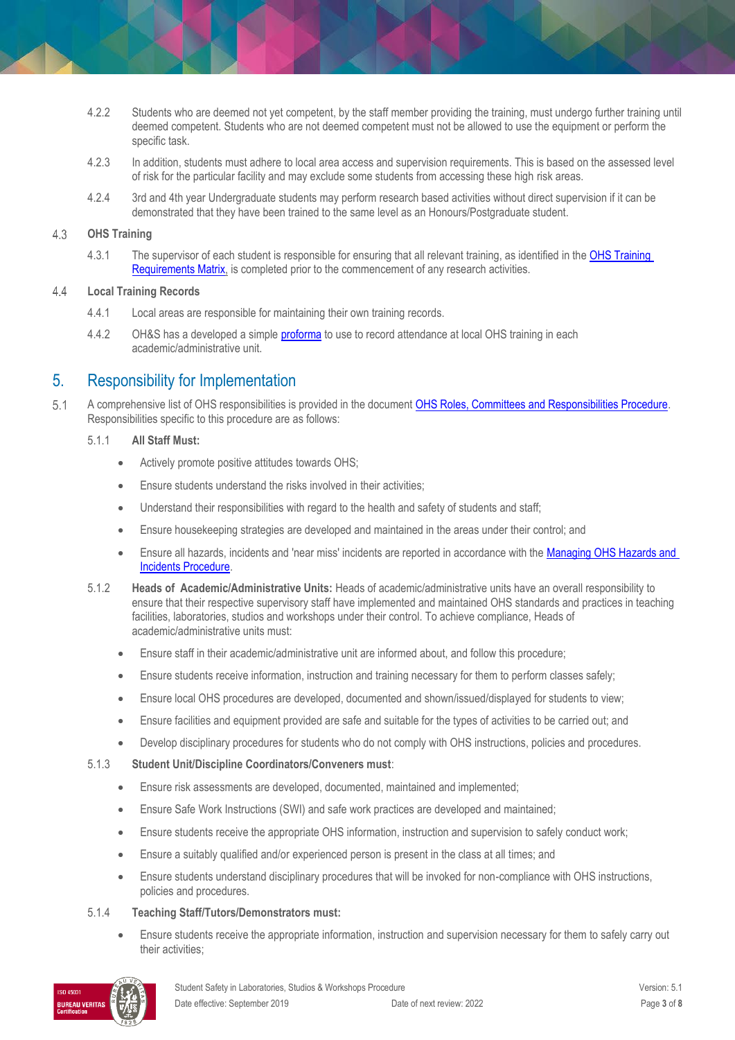- 4.2.2 Students who are deemed not yet competent, by the staff member providing the training, must undergo further training until deemed competent. Students who are not deemed competent must not be allowed to use the equipment or perform the specific task.
- 4.2.3 In addition, students must adhere to local area access and supervision requirements. This is based on the assessed level of risk for the particular facility and may exclude some students from accessing these high risk areas.
- 4.2.4 3rd and 4th year Undergraduate students may perform research based activities without direct supervision if it can be demonstrated that they have been trained to the same level as an Honours/Postgraduate student.

#### **OHS Training**   $4.3$

4.3.1 The supervisor of each student is responsible for ensuring that all relevant training, as identified in th[e OHS Training](https://www.monash.edu/__data/assets/pdf_file/0004/496030/ohs-training-guide.pdf)  [Requirements Matrix,](https://www.monash.edu/__data/assets/pdf_file/0004/496030/ohs-training-guide.pdf) is completed prior to the commencement of any research activities.

#### $4.4$ **Local Training Records**

- 4.4.1 Local areas are responsible for maintaining their own training records.
- 4.4.2 OH&S has a developed a simple **proforma** to use to record attendance at local OHS training in each academic/administrative unit.

## 5. Responsibility for Implementation

 $5.1$ A comprehensive list of OHS responsibilities is provided in the documen[t OHS Roles, Committees and Responsibilities Procedure.](https://publicpolicydms.monash.edu/Monash/documents/1935644)  Responsibilities specific to this procedure are as follows:

### 5.1.1 **All Staff Must:**

- Actively promote positive attitudes towards OHS;
- Ensure students understand the risks involved in their activities;
- Understand their responsibilities with regard to the health and safety of students and staff;
- Ensure housekeeping strategies are developed and maintained in the areas under their control; and
- Ensure all hazards, incidents and 'near miss' incidents are reported in accordance with the [Managing OHS Hazards and](https://publicpolicydms.monash.edu/Monash/documents/1935623)  [Incidents Procedure.](https://publicpolicydms.monash.edu/Monash/documents/1935623)
- 5.1.2 **Heads of Academic/Administrative Units:** Heads of academic/administrative units have an overall responsibility to ensure that their respective supervisory staff have implemented and maintained OHS standards and practices in teaching facilities, laboratories, studios and workshops under their control. To achieve compliance, Heads of academic/administrative units must:
	- Ensure staff in their academic/administrative unit are informed about, and follow this procedure;
	- Ensure students receive information, instruction and training necessary for them to perform classes safely;
	- Ensure local OHS procedures are developed, documented and shown/issued/displayed for students to view;
	- Ensure facilities and equipment provided are safe and suitable for the types of activities to be carried out; and
	- Develop disciplinary procedures for students who do not comply with OHS instructions, policies and procedures.
- 5.1.3 **Student Unit/Discipline Coordinators/Conveners must**:
	- Ensure risk assessments are developed, documented, maintained and implemented;
	- Ensure Safe Work Instructions (SWI) and safe work practices are developed and maintained;
	- Ensure students receive the appropriate OHS information, instruction and supervision to safely conduct work;
	- Ensure a suitably qualified and/or experienced person is present in the class at all times; and
	- Ensure students understand disciplinary procedures that will be invoked for non-compliance with OHS instructions, policies and procedures.
- 5.1.4 **Teaching Staff/Tutors/Demonstrators must:**
	- Ensure students receive the appropriate information, instruction and supervision necessary for them to safely carry out their activities;

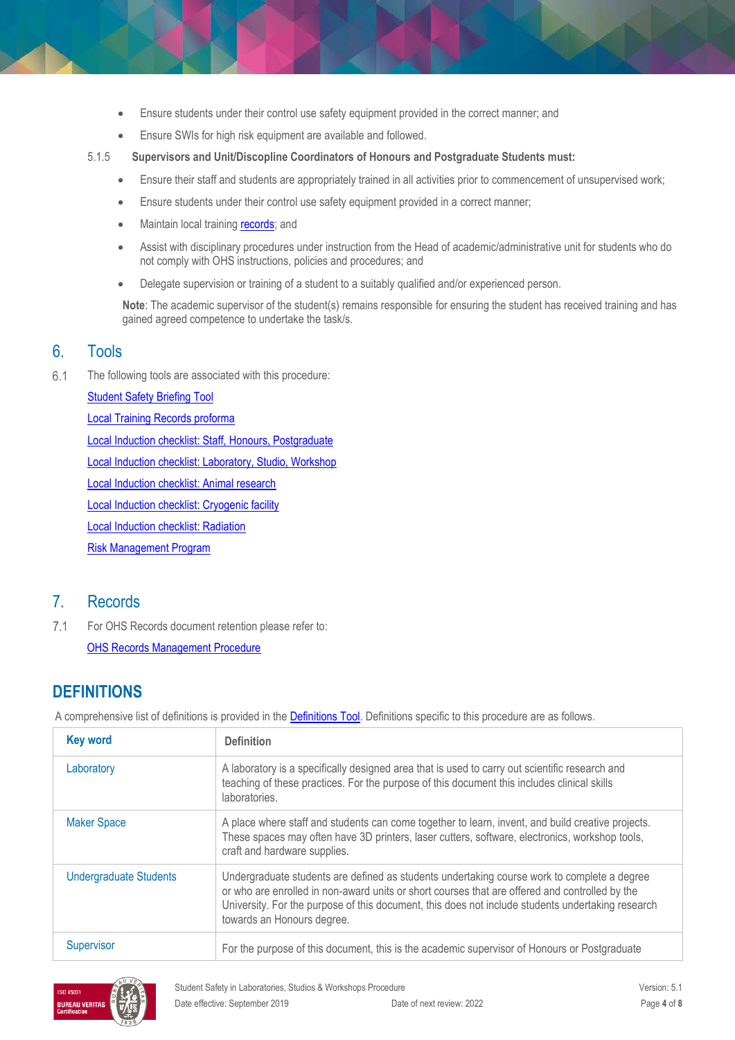- Ensure students under their control use safety equipment provided in the correct manner; and
- Ensure SWIs for high risk equipment are available and followed.
- 5.1.5 **Supervisors and Unit/Discopline Coordinators of Honours and Postgraduate Students must:**
	- Ensure their staff and students are appropriately trained in all activities prior to commencement of unsupervised work;
	- Ensure students under their control use safety equipment provided in a correct manner;
	- Maintain local training [records;](https://www.monash.edu/__data/assets/word_doc/0011/1621847/Local-training-records-proforma.docx) and
	- Assist with disciplinary procedures under instruction from the Head of academic/administrative unit for students who do not comply with OHS instructions, policies and procedures; and
	- Delegate supervision or training of a student to a suitably qualified and/or experienced person.

**Note**: The academic supervisor of the student(s) remains responsible for ensuring the student has received training and has gained agreed competence to undertake the task/s.

### 6. Tools

 $6.1$ The following tools are associated with this procedure:

> [Student Safety Briefing Tool](http://www.monash.edu/__data/assets/pdf_file/0005/2038055/student-safety-briefing-tool.pdf) [Local Training Records proforma](https://www.monash.edu/__data/assets/word_doc/0011/1621847/Local-training-records-proforma.docx) [Local Induction checklist: Staff, Honours, Postgraduate](http://www.monash.edu/__data/assets/word_doc/0015/122910/induct-staff.docx) [Local Induction checklist: Laboratory, Studio, Workshop](http://www.monash.edu/__data/assets/word_doc/0015/122901/induct-lab-workshop.docx) [Local Induction checklist: Animal research](http://www.monash.edu/__data/assets/word_doc/0007/122893/induct-animal-module.docx) [Local Induction checklist: Cryogenic facility](http://www.monash.edu/__data/assets/word_doc/0003/122898/induct-cryogenic-module.docx) [Local Induction checklist: Radiation](http://www.monash.edu/__data/assets/word_doc/0016/122902/induct-radiation-module.docx) [Risk Management Program](http://www.monash.edu/__data/assets/pdf_file/0019/126082/risk-management-program.pdf)

# 7. Records

 $7.1$ For OHS Records document retention please refer to: [OHS Records Management Procedure](https://publicpolicydms.monash.edu/Monash/documents/1935642)

# **DEFINITIONS**

A comprehensive list of definitions is provided in the [Definitions Tool.](http://www.monash.edu/__data/assets/pdf_file/0018/113742/ohs-document-definitions.pdf) Definitions specific to this procedure are as follows.

| <b>Key word</b>               | <b>Definition</b>                                                                                                                                                                                                                                                                                                                |
|-------------------------------|----------------------------------------------------------------------------------------------------------------------------------------------------------------------------------------------------------------------------------------------------------------------------------------------------------------------------------|
| Laboratory                    | A laboratory is a specifically designed area that is used to carry out scientific research and<br>teaching of these practices. For the purpose of this document this includes clinical skills<br>laboratories.                                                                                                                   |
| <b>Maker Space</b>            | A place where staff and students can come together to learn, invent, and build creative projects.<br>These spaces may often have 3D printers, laser cutters, software, electronics, workshop tools,<br>craft and hardware supplies.                                                                                              |
| <b>Undergraduate Students</b> | Undergraduate students are defined as students undertaking course work to complete a degree<br>or who are enrolled in non-award units or short courses that are offered and controlled by the<br>University. For the purpose of this document, this does not include students undertaking research<br>towards an Honours degree. |
| Supervisor                    | For the purpose of this document, this is the academic supervisor of Honours or Postgraduate                                                                                                                                                                                                                                     |

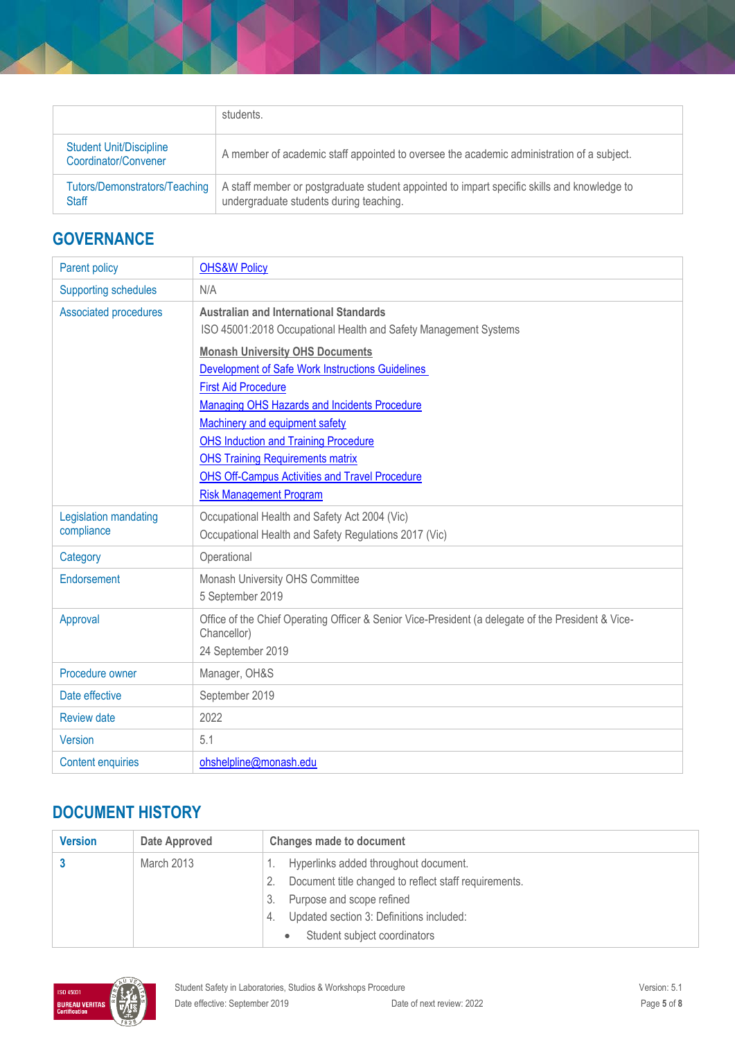|                                                        | students.                                                                                                                              |
|--------------------------------------------------------|----------------------------------------------------------------------------------------------------------------------------------------|
| <b>Student Unit/Discipline</b><br>Coordinator/Convener | A member of academic staff appointed to oversee the academic administration of a subject.                                              |
| Tutors/Demonstrators/Teaching<br><b>Staff</b>          | A staff member or postgraduate student appointed to impart specific skills and knowledge to<br>undergraduate students during teaching. |

# **GOVERNANCE**

| Parent policy                       | <b>OHS&amp;W Policy</b>                                                                                                                                                                                                                                                                                                                                                                  |
|-------------------------------------|------------------------------------------------------------------------------------------------------------------------------------------------------------------------------------------------------------------------------------------------------------------------------------------------------------------------------------------------------------------------------------------|
| <b>Supporting schedules</b>         | N/A                                                                                                                                                                                                                                                                                                                                                                                      |
| Associated procedures               | <b>Australian and International Standards</b><br>ISO 45001:2018 Occupational Health and Safety Management Systems                                                                                                                                                                                                                                                                        |
|                                     | <b>Monash University OHS Documents</b><br>Development of Safe Work Instructions Guidelines<br><b>First Aid Procedure</b><br>Managing OHS Hazards and Incidents Procedure<br>Machinery and equipment safety<br><b>OHS Induction and Training Procedure</b><br><b>OHS Training Requirements matrix</b><br>OHS Off-Campus Activities and Travel Procedure<br><b>Risk Management Program</b> |
| Legislation mandating<br>compliance | Occupational Health and Safety Act 2004 (Vic)<br>Occupational Health and Safety Regulations 2017 (Vic)                                                                                                                                                                                                                                                                                   |
| Category                            | Operational                                                                                                                                                                                                                                                                                                                                                                              |
| Endorsement                         | Monash University OHS Committee<br>5 September 2019                                                                                                                                                                                                                                                                                                                                      |
| Approval                            | Office of the Chief Operating Officer & Senior Vice-President (a delegate of the President & Vice-<br>Chancellor)<br>24 September 2019                                                                                                                                                                                                                                                   |
| Procedure owner                     | Manager, OH&S                                                                                                                                                                                                                                                                                                                                                                            |
| Date effective                      | September 2019                                                                                                                                                                                                                                                                                                                                                                           |
| <b>Review date</b>                  | 2022                                                                                                                                                                                                                                                                                                                                                                                     |
| Version                             | 5.1                                                                                                                                                                                                                                                                                                                                                                                      |
| <b>Content enquiries</b>            | ohshelpline@monash.edu                                                                                                                                                                                                                                                                                                                                                                   |

# **DOCUMENT HISTORY**

| <b>Version</b> | Date Approved | <b>Changes made to document</b>                                                          |
|----------------|---------------|------------------------------------------------------------------------------------------|
|                | March 2013    | Hyperlinks added throughout document.                                                    |
|                |               | Document title changed to reflect staff requirements.<br>Purpose and scope refined<br>3. |
|                |               | Updated section 3: Definitions included:<br>4.                                           |
|                |               | Student subject coordinators                                                             |

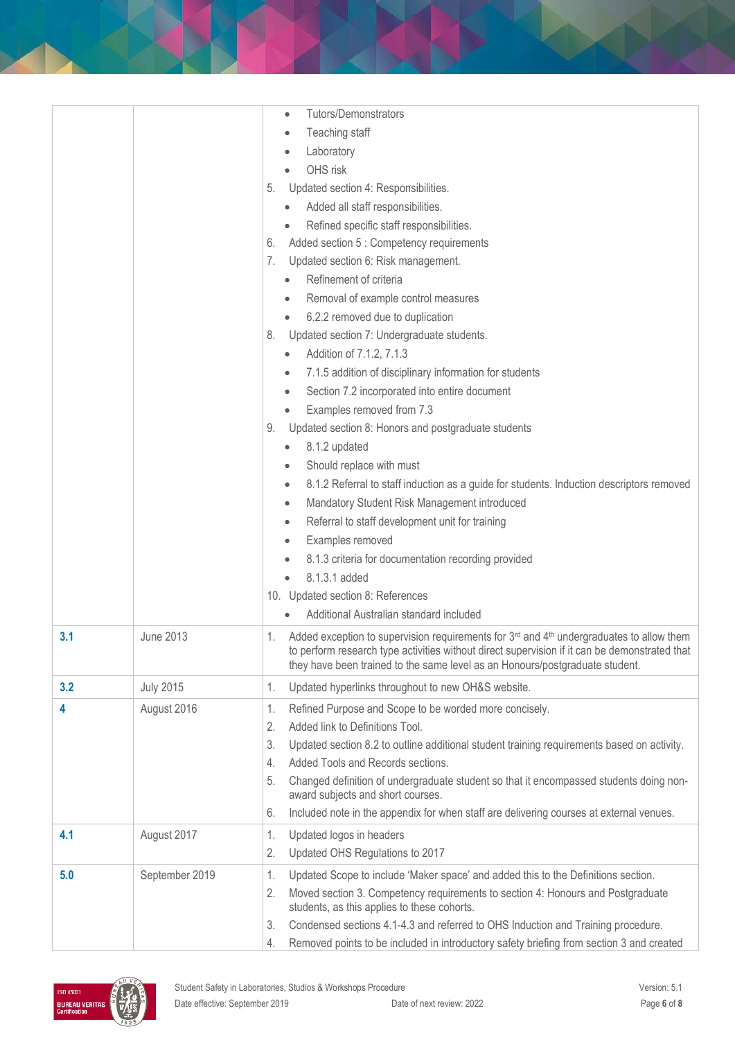|     |                  | <b>Tutors/Demonstrators</b><br>$\bullet$                                                                                                                                                                                                                                        |
|-----|------------------|---------------------------------------------------------------------------------------------------------------------------------------------------------------------------------------------------------------------------------------------------------------------------------|
|     |                  | Teaching staff<br>$\bullet$                                                                                                                                                                                                                                                     |
|     |                  | Laboratory<br>۰                                                                                                                                                                                                                                                                 |
|     |                  | OHS risk                                                                                                                                                                                                                                                                        |
|     |                  | Updated section 4: Responsibilities.<br>5.                                                                                                                                                                                                                                      |
|     |                  | Added all staff responsibilities.                                                                                                                                                                                                                                               |
|     |                  | Refined specific staff responsibilities.<br>$\bullet$                                                                                                                                                                                                                           |
|     |                  | Added section 5 : Competency requirements<br>6.                                                                                                                                                                                                                                 |
|     |                  | Updated section 6: Risk management.<br>7.                                                                                                                                                                                                                                       |
|     |                  | Refinement of criteria                                                                                                                                                                                                                                                          |
|     |                  | Removal of example control measures<br>$\bullet$                                                                                                                                                                                                                                |
|     |                  | 6.2.2 removed due to duplication<br>$\bullet$                                                                                                                                                                                                                                   |
|     |                  | Updated section 7: Undergraduate students.<br>8.                                                                                                                                                                                                                                |
|     |                  | Addition of 7.1.2, 7.1.3                                                                                                                                                                                                                                                        |
|     |                  | 7.1.5 addition of disciplinary information for students<br>$\bullet$                                                                                                                                                                                                            |
|     |                  | Section 7.2 incorporated into entire document<br>$\bullet$                                                                                                                                                                                                                      |
|     |                  | Examples removed from 7.3<br>$\bullet$                                                                                                                                                                                                                                          |
|     |                  | Updated section 8: Honors and postgraduate students<br>9.                                                                                                                                                                                                                       |
|     |                  | 8.1.2 updated<br>$\bullet$                                                                                                                                                                                                                                                      |
|     |                  | Should replace with must<br>$\bullet$                                                                                                                                                                                                                                           |
|     |                  | 8.1.2 Referral to staff induction as a guide for students. Induction descriptors removed<br>$\bullet$                                                                                                                                                                           |
|     |                  | Mandatory Student Risk Management introduced<br>$\bullet$                                                                                                                                                                                                                       |
|     |                  | Referral to staff development unit for training<br>$\bullet$                                                                                                                                                                                                                    |
|     |                  | Examples removed<br>۰                                                                                                                                                                                                                                                           |
|     |                  | 8.1.3 criteria for documentation recording provided                                                                                                                                                                                                                             |
|     |                  | 8.1.3.1 added                                                                                                                                                                                                                                                                   |
|     |                  | 10. Updated section 8: References                                                                                                                                                                                                                                               |
|     |                  | Additional Australian standard included<br>$\bullet$                                                                                                                                                                                                                            |
| 3.1 | <b>June 2013</b> | Added exception to supervision requirements for 3rd and 4th undergraduates to allow them<br>1.<br>to perform research type activities without direct supervision if it can be demonstrated that<br>they have been trained to the same level as an Honours/postgraduate student. |
| 3.2 | <b>July 2015</b> | Updated hyperlinks throughout to new OH&S website.<br>1.                                                                                                                                                                                                                        |
| 4   | August 2016      | Refined Purpose and Scope to be worded more concisely.<br>1.                                                                                                                                                                                                                    |
|     |                  | Added link to Definitions Tool.<br>2.                                                                                                                                                                                                                                           |
|     |                  | Updated section 8.2 to outline additional student training requirements based on activity.<br>3.                                                                                                                                                                                |
|     |                  | Added Tools and Records sections.<br>4.                                                                                                                                                                                                                                         |
|     |                  | Changed definition of undergraduate student so that it encompassed students doing non-<br>5.<br>award subjects and short courses.                                                                                                                                               |
|     |                  | Included note in the appendix for when staff are delivering courses at external venues.<br>6.                                                                                                                                                                                   |
| 4.1 | August 2017      | Updated logos in headers<br>1.                                                                                                                                                                                                                                                  |
|     |                  | Updated OHS Regulations to 2017<br>2.                                                                                                                                                                                                                                           |
| 5.0 | September 2019   | Updated Scope to include 'Maker space' and added this to the Definitions section.<br>1.                                                                                                                                                                                         |
|     |                  | Moved section 3. Competency requirements to section 4: Honours and Postgraduate<br>2.<br>students, as this applies to these cohorts.                                                                                                                                            |
|     |                  | Condensed sections 4.1-4.3 and referred to OHS Induction and Training procedure.<br>3.                                                                                                                                                                                          |
|     |                  | Removed points to be included in introductory safety briefing from section 3 and created<br>4.                                                                                                                                                                                  |

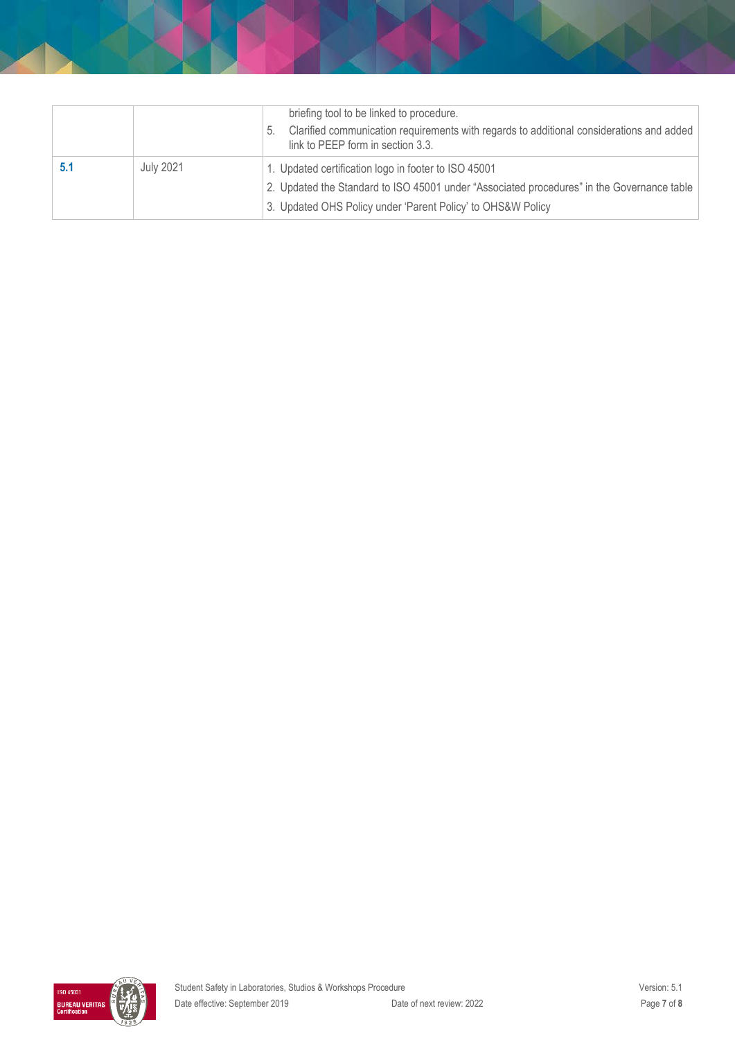|                  | briefing tool to be linked to procedure.                                                                                            |
|------------------|-------------------------------------------------------------------------------------------------------------------------------------|
|                  | Clarified communication requirements with regards to additional considerations and added<br>5.<br>link to PEEP form in section 3.3. |
| <b>July 2021</b> | 1. Updated certification logo in footer to ISO 45001                                                                                |
|                  | 2. Updated the Standard to ISO 45001 under "Associated procedures" in the Governance table                                          |
|                  | 3. Updated OHS Policy under 'Parent Policy' to OHS&W Policy                                                                         |